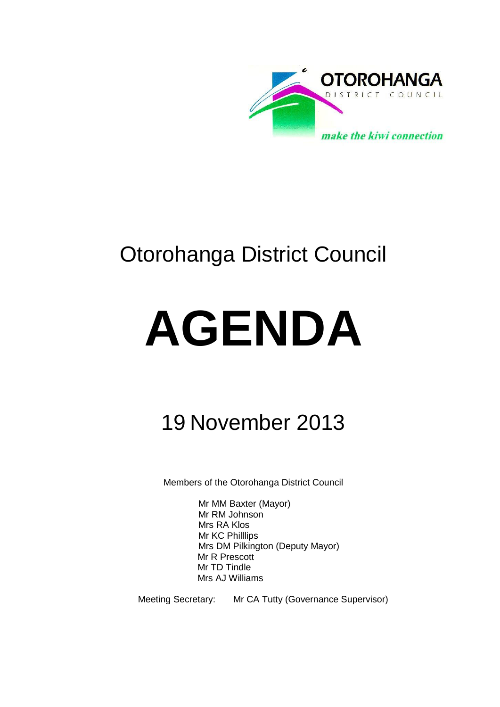

# Otorohanga District Council

# **AGENDA**

# 19 November 2013

Members of the Otorohanga District Council

Mr MM Baxter (Mayor) Mr RM Johnson Mrs RA Klos Mr KC Philllips Mrs DM Pilkington (Deputy Mayor) Mr R Prescott Mr TD Tindle Mrs AJ Williams

Meeting Secretary: Mr CA Tutty (Governance Supervisor)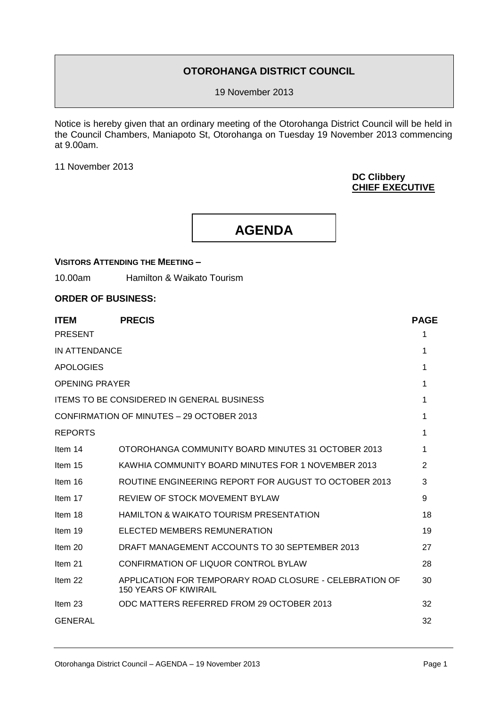### **OTOROHANGA DISTRICT COUNCIL**

19 November 2013

Notice is hereby given that an ordinary meeting of the Otorohanga District Council will be held in the Council Chambers, Maniapoto St, Otorohanga on Tuesday 19 November 2013 commencing at 9.00am.

11 November 2013

#### **DC Clibbery CHIEF EXECUTIVE**

# **AGENDA**

# **VISITORS ATTENDING THE MEETING –**

10.00am Hamilton & Waikato Tourism

#### **ORDER OF BUSINESS:**

| <b>ITEM</b>           | <b>PRECIS</b>                                                                           | <b>PAGE</b>    |
|-----------------------|-----------------------------------------------------------------------------------------|----------------|
| <b>PRESENT</b>        |                                                                                         | 1              |
| IN ATTENDANCE         |                                                                                         | 1              |
| <b>APOLOGIES</b>      |                                                                                         | 1              |
| <b>OPENING PRAYER</b> |                                                                                         | 1              |
|                       | <b>ITEMS TO BE CONSIDERED IN GENERAL BUSINESS</b>                                       | 1              |
|                       | CONFIRMATION OF MINUTES - 29 OCTOBER 2013                                               | 1              |
| <b>REPORTS</b>        |                                                                                         | 1              |
| Item 14               | OTOROHANGA COMMUNITY BOARD MINUTES 31 OCTOBER 2013                                      | 1              |
| Item 15               | KAWHIA COMMUNITY BOARD MINUTES FOR 1 NOVEMBER 2013                                      | $\overline{2}$ |
| Item 16               | ROUTINE ENGINEERING REPORT FOR AUGUST TO OCTOBER 2013                                   | 3              |
| Item 17               | REVIEW OF STOCK MOVEMENT BYLAW                                                          | 9              |
| Item 18               | <b>HAMILTON &amp; WAIKATO TOURISM PRESENTATION</b>                                      | 18             |
| Item 19               | ELECTED MEMBERS REMUNERATION                                                            | 19             |
| Item 20               | DRAFT MANAGEMENT ACCOUNTS TO 30 SEPTEMBER 2013                                          | 27             |
| Item 21               | CONFIRMATION OF LIQUOR CONTROL BYLAW                                                    | 28             |
| Item 22               | APPLICATION FOR TEMPORARY ROAD CLOSURE - CELEBRATION OF<br><b>150 YEARS OF KIWIRAIL</b> | 30             |
| Item 23               | ODC MATTERS REFERRED FROM 29 OCTOBER 2013                                               | 32             |
| <b>GENERAL</b>        |                                                                                         | 32             |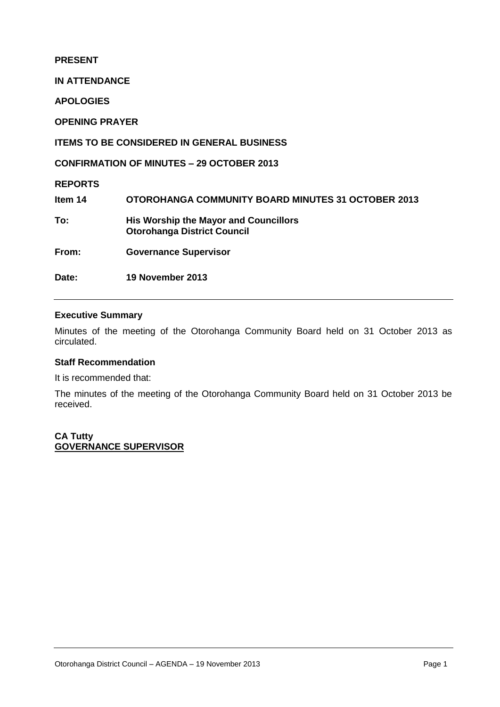#### **PRESENT**

**IN ATTENDANCE**

**APOLOGIES**

**OPENING PRAYER**

#### **ITEMS TO BE CONSIDERED IN GENERAL BUSINESS**

**CONFIRMATION OF MINUTES – 29 OCTOBER 2013**

**REPORTS**

**Item 14 OTOROHANGA COMMUNITY BOARD MINUTES 31 OCTOBER 2013 To: His Worship the Mayor and Councillors Otorohanga District Council From: Governance Supervisor**

**Date: 19 November 2013** 

#### **Executive Summary**

Minutes of the meeting of the Otorohanga Community Board held on 31 October 2013 as circulated.

#### **Staff Recommendation**

It is recommended that:

The minutes of the meeting of the Otorohanga Community Board held on 31 October 2013 be received.

**CA Tutty GOVERNANCE SUPERVISOR**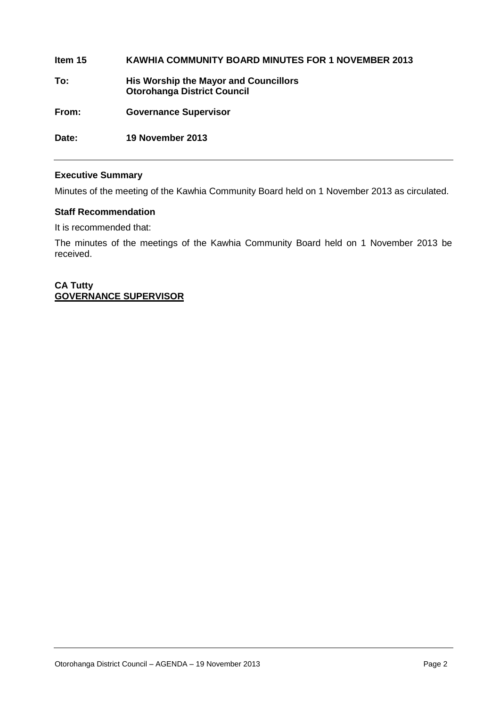**Item 15 KAWHIA COMMUNITY BOARD MINUTES FOR 1 NOVEMBER 2013 To: His Worship the Mayor and Councillors Otorohanga District Council From: Governance Supervisor Date: 19 November 2013**

#### **Executive Summary**

Minutes of the meeting of the Kawhia Community Board held on 1 November 2013 as circulated.

#### **Staff Recommendation**

It is recommended that:

The minutes of the meetings of the Kawhia Community Board held on 1 November 2013 be received.

#### **CA Tutty GOVERNANCE SUPERVISOR**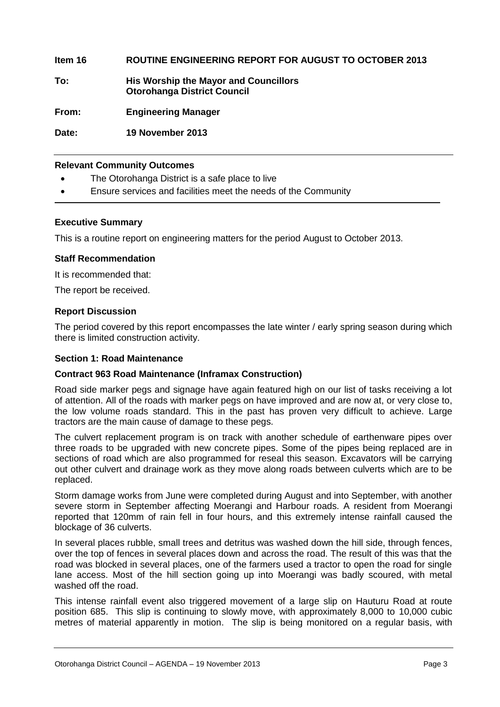#### **Item 16 ROUTINE ENGINEERING REPORT FOR AUGUST TO OCTOBER 2013**

**To: His Worship the Mayor and Councillors Otorohanga District Council**

**From: Engineering Manager**

**Date: 19 November 2013**

#### **Relevant Community Outcomes**

- The Otorohanga District is a safe place to live
- Ensure services and facilities meet the needs of the Community

#### **Executive Summary**

This is a routine report on engineering matters for the period August to October 2013.

#### **Staff Recommendation**

It is recommended that:

The report be received.

#### **Report Discussion**

The period covered by this report encompasses the late winter / early spring season during which there is limited construction activity.

#### **Section 1: Road Maintenance**

#### **Contract 963 Road Maintenance (Inframax Construction)**

Road side marker pegs and signage have again featured high on our list of tasks receiving a lot of attention. All of the roads with marker pegs on have improved and are now at, or very close to, the low volume roads standard. This in the past has proven very difficult to achieve. Large tractors are the main cause of damage to these pegs.

The culvert replacement program is on track with another schedule of earthenware pipes over three roads to be upgraded with new concrete pipes. Some of the pipes being replaced are in sections of road which are also programmed for reseal this season. Excavators will be carrying out other culvert and drainage work as they move along roads between culverts which are to be replaced.

Storm damage works from June were completed during August and into September, with another severe storm in September affecting Moerangi and Harbour roads. A resident from Moerangi reported that 120mm of rain fell in four hours, and this extremely intense rainfall caused the blockage of 36 culverts.

In several places rubble, small trees and detritus was washed down the hill side, through fences, over the top of fences in several places down and across the road. The result of this was that the road was blocked in several places, one of the farmers used a tractor to open the road for single lane access. Most of the hill section going up into Moerangi was badly scoured, with metal washed off the road.

This intense rainfall event also triggered movement of a large slip on Hauturu Road at route position 685. This slip is continuing to slowly move, with approximately 8,000 to 10,000 cubic metres of material apparently in motion. The slip is being monitored on a regular basis, with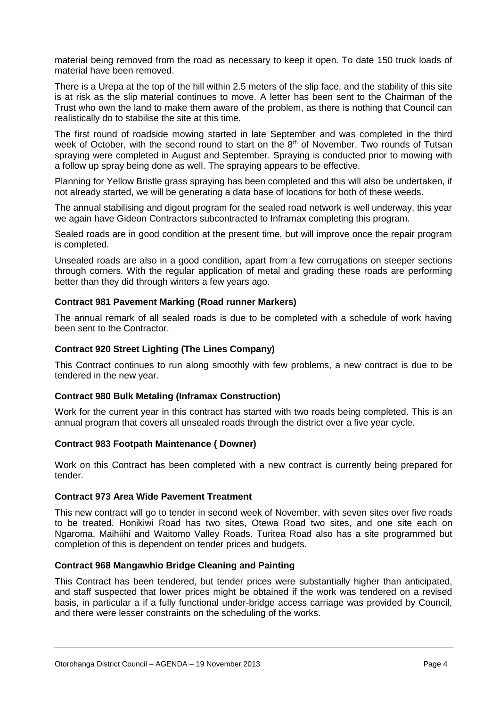material being removed from the road as necessary to keep it open. To date 150 truck loads of material have been removed.

There is a Urepa at the top of the hill within 2.5 meters of the slip face, and the stability of this site is at risk as the slip material continues to move. A letter has been sent to the Chairman of the Trust who own the land to make them aware of the problem, as there is nothing that Council can realistically do to stabilise the site at this time.

The first round of roadside mowing started in late September and was completed in the third week of October, with the second round to start on the  $8<sup>th</sup>$  of November. Two rounds of Tutsan spraying were completed in August and September. Spraying is conducted prior to mowing with a follow up spray being done as well. The spraying appears to be effective.

Planning for Yellow Bristle grass spraying has been completed and this will also be undertaken, if not already started, we will be generating a data base of locations for both of these weeds.

The annual stabilising and digout program for the sealed road network is well underway, this year we again have Gideon Contractors subcontracted to Inframax completing this program.

Sealed roads are in good condition at the present time, but will improve once the repair program is completed.

Unsealed roads are also in a good condition, apart from a few corrugations on steeper sections through corners. With the regular application of metal and grading these roads are performing better than they did through winters a few years ago.

#### **Contract 981 Pavement Marking (Road runner Markers)**

The annual remark of all sealed roads is due to be completed with a schedule of work having been sent to the Contractor.

#### **Contract 920 Street Lighting (The Lines Company)**

This Contract continues to run along smoothly with few problems, a new contract is due to be tendered in the new year.

#### **Contract 980 Bulk Metaling (Inframax Construction)**

Work for the current year in this contract has started with two roads being completed. This is an annual program that covers all unsealed roads through the district over a five year cycle.

#### **Contract 983 Footpath Maintenance ( Downer)**

Work on this Contract has been completed with a new contract is currently being prepared for tender.

#### **Contract 973 Area Wide Pavement Treatment**

This new contract will go to tender in second week of November, with seven sites over five roads to be treated. Honikiwi Road has two sites, Otewa Road two sites, and one site each on Ngaroma, Maihiihi and Waitomo Valley Roads. Turitea Road also has a site programmed but completion of this is dependent on tender prices and budgets.

#### **Contract 968 Mangawhio Bridge Cleaning and Painting**

This Contract has been tendered, but tender prices were substantially higher than anticipated, and staff suspected that lower prices might be obtained if the work was tendered on a revised basis, in particular a if a fully functional under-bridge access carriage was provided by Council, and there were lesser constraints on the scheduling of the works.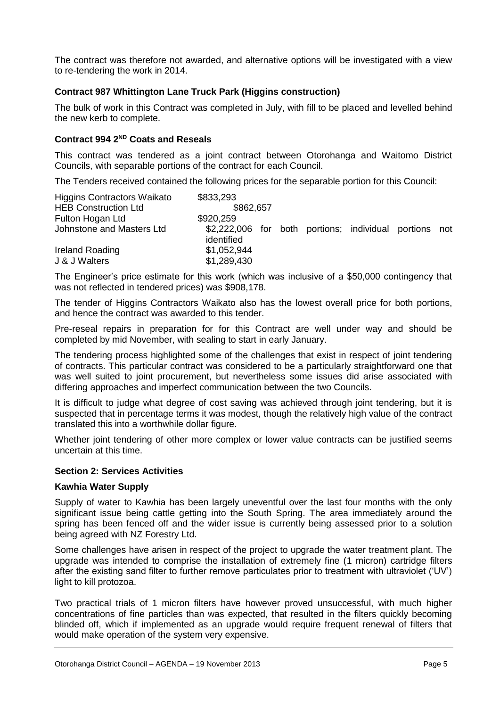The contract was therefore not awarded, and alternative options will be investigated with a view to re-tendering the work in 2014.

#### **Contract 987 Whittington Lane Truck Park (Higgins construction)**

The bulk of work in this Contract was completed in July, with fill to be placed and levelled behind the new kerb to complete.

#### **Contract 994 2 ND Coats and Reseals**

This contract was tendered as a joint contract between Otorohanga and Waitomo District Councils, with separable portions of the contract for each Council.

The Tenders received contained the following prices for the separable portion for this Council:

| Higgins Contractors Waikato | \$833,293                                                            |  |  |  |
|-----------------------------|----------------------------------------------------------------------|--|--|--|
| <b>HEB Construction Ltd</b> | \$862,657                                                            |  |  |  |
| Fulton Hogan Ltd            | \$920,259                                                            |  |  |  |
| Johnstone and Masters Ltd   | \$2,222,006 for both portions; individual portions not<br>identified |  |  |  |
| Ireland Roading             | \$1,052,944                                                          |  |  |  |
| J & J Walters               | \$1,289,430                                                          |  |  |  |

The Engineer's price estimate for this work (which was inclusive of a \$50,000 contingency that was not reflected in tendered prices) was \$908,178.

The tender of Higgins Contractors Waikato also has the lowest overall price for both portions, and hence the contract was awarded to this tender.

Pre-reseal repairs in preparation for for this Contract are well under way and should be completed by mid November, with sealing to start in early January.

The tendering process highlighted some of the challenges that exist in respect of joint tendering of contracts. This particular contract was considered to be a particularly straightforward one that was well suited to joint procurement, but nevertheless some issues did arise associated with differing approaches and imperfect communication between the two Councils.

It is difficult to judge what degree of cost saving was achieved through joint tendering, but it is suspected that in percentage terms it was modest, though the relatively high value of the contract translated this into a worthwhile dollar figure.

Whether joint tendering of other more complex or lower value contracts can be justified seems uncertain at this time.

#### **Section 2: Services Activities**

#### **Kawhia Water Supply**

Supply of water to Kawhia has been largely uneventful over the last four months with the only significant issue being cattle getting into the South Spring. The area immediately around the spring has been fenced off and the wider issue is currently being assessed prior to a solution being agreed with NZ Forestry Ltd.

Some challenges have arisen in respect of the project to upgrade the water treatment plant. The upgrade was intended to comprise the installation of extremely fine (1 micron) cartridge filters after the existing sand filter to further remove particulates prior to treatment with ultraviolet ('UV') light to kill protozoa.

Two practical trials of 1 micron filters have however proved unsuccessful, with much higher concentrations of fine particles than was expected, that resulted in the filters quickly becoming blinded off, which if implemented as an upgrade would require frequent renewal of filters that would make operation of the system very expensive.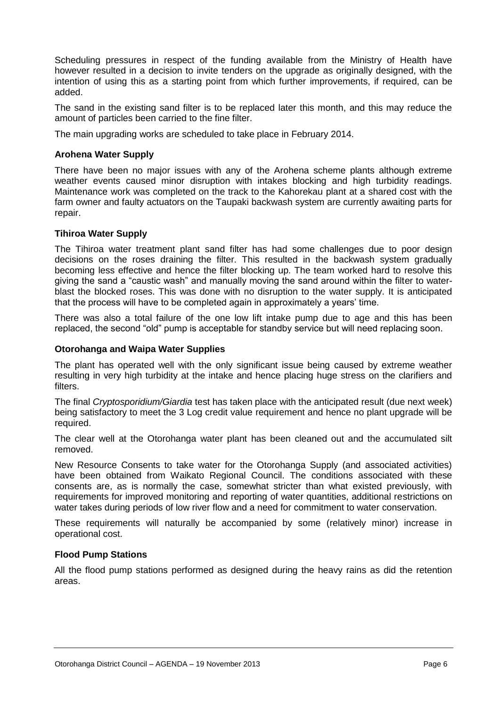Scheduling pressures in respect of the funding available from the Ministry of Health have however resulted in a decision to invite tenders on the upgrade as originally designed, with the intention of using this as a starting point from which further improvements, if required, can be added.

The sand in the existing sand filter is to be replaced later this month, and this may reduce the amount of particles been carried to the fine filter.

The main upgrading works are scheduled to take place in February 2014.

#### **Arohena Water Supply**

There have been no major issues with any of the Arohena scheme plants although extreme weather events caused minor disruption with intakes blocking and high turbidity readings. Maintenance work was completed on the track to the Kahorekau plant at a shared cost with the farm owner and faulty actuators on the Taupaki backwash system are currently awaiting parts for repair.

#### **Tihiroa Water Supply**

The Tihiroa water treatment plant sand filter has had some challenges due to poor design decisions on the roses draining the filter. This resulted in the backwash system gradually becoming less effective and hence the filter blocking up. The team worked hard to resolve this giving the sand a "caustic wash" and manually moving the sand around within the filter to waterblast the blocked roses. This was done with no disruption to the water supply. It is anticipated that the process will have to be completed again in approximately a years' time.

There was also a total failure of the one low lift intake pump due to age and this has been replaced, the second "old" pump is acceptable for standby service but will need replacing soon.

#### **Otorohanga and Waipa Water Supplies**

The plant has operated well with the only significant issue being caused by extreme weather resulting in very high turbidity at the intake and hence placing huge stress on the clarifiers and filters.

The final *Cryptosporidium/Giardia* test has taken place with the anticipated result (due next week) being satisfactory to meet the 3 Log credit value requirement and hence no plant upgrade will be required.

The clear well at the Otorohanga water plant has been cleaned out and the accumulated silt removed.

New Resource Consents to take water for the Otorohanga Supply (and associated activities) have been obtained from Waikato Regional Council. The conditions associated with these consents are, as is normally the case, somewhat stricter than what existed previously, with requirements for improved monitoring and reporting of water quantities, additional restrictions on water takes during periods of low river flow and a need for commitment to water conservation.

These requirements will naturally be accompanied by some (relatively minor) increase in operational cost.

#### **Flood Pump Stations**

All the flood pump stations performed as designed during the heavy rains as did the retention areas.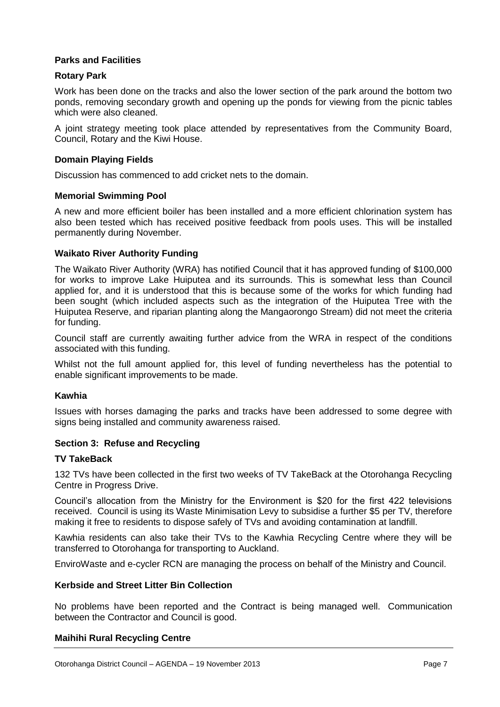#### **Parks and Facilities**

#### **Rotary Park**

Work has been done on the tracks and also the lower section of the park around the bottom two ponds, removing secondary growth and opening up the ponds for viewing from the picnic tables which were also cleaned.

A joint strategy meeting took place attended by representatives from the Community Board, Council, Rotary and the Kiwi House.

#### **Domain Playing Fields**

Discussion has commenced to add cricket nets to the domain.

#### **Memorial Swimming Pool**

A new and more efficient boiler has been installed and a more efficient chlorination system has also been tested which has received positive feedback from pools uses. This will be installed permanently during November.

#### **Waikato River Authority Funding**

The Waikato River Authority (WRA) has notified Council that it has approved funding of \$100,000 for works to improve Lake Huiputea and its surrounds. This is somewhat less than Council applied for, and it is understood that this is because some of the works for which funding had been sought (which included aspects such as the integration of the Huiputea Tree with the Huiputea Reserve, and riparian planting along the Mangaorongo Stream) did not meet the criteria for funding.

Council staff are currently awaiting further advice from the WRA in respect of the conditions associated with this funding.

Whilst not the full amount applied for, this level of funding nevertheless has the potential to enable significant improvements to be made.

#### **Kawhia**

Issues with horses damaging the parks and tracks have been addressed to some degree with signs being installed and community awareness raised.

#### **Section 3: Refuse and Recycling**

#### **TV TakeBack**

132 TVs have been collected in the first two weeks of TV TakeBack at the Otorohanga Recycling Centre in Progress Drive.

Council's allocation from the Ministry for the Environment is \$20 for the first 422 televisions received. Council is using its Waste Minimisation Levy to subsidise a further \$5 per TV, therefore making it free to residents to dispose safely of TVs and avoiding contamination at landfill.

Kawhia residents can also take their TVs to the Kawhia Recycling Centre where they will be transferred to Otorohanga for transporting to Auckland.

EnviroWaste and e-cycler RCN are managing the process on behalf of the Ministry and Council.

#### **Kerbside and Street Litter Bin Collection**

No problems have been reported and the Contract is being managed well. Communication between the Contractor and Council is good.

#### **Maihihi Rural Recycling Centre**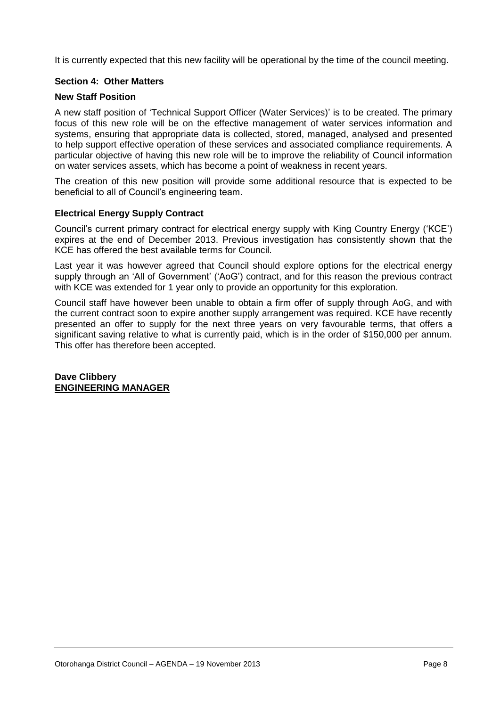It is currently expected that this new facility will be operational by the time of the council meeting.

#### **Section 4: Other Matters**

#### **New Staff Position**

A new staff position of 'Technical Support Officer (Water Services)' is to be created. The primary focus of this new role will be on the effective management of water services information and systems, ensuring that appropriate data is collected, stored, managed, analysed and presented to help support effective operation of these services and associated compliance requirements. A particular objective of having this new role will be to improve the reliability of Council information on water services assets, which has become a point of weakness in recent years.

The creation of this new position will provide some additional resource that is expected to be beneficial to all of Council's engineering team.

#### **Electrical Energy Supply Contract**

Council's current primary contract for electrical energy supply with King Country Energy ('KCE') expires at the end of December 2013. Previous investigation has consistently shown that the KCE has offered the best available terms for Council.

Last year it was however agreed that Council should explore options for the electrical energy supply through an 'All of Government' ('AoG') contract, and for this reason the previous contract with KCE was extended for 1 year only to provide an opportunity for this exploration.

Council staff have however been unable to obtain a firm offer of supply through AoG, and with the current contract soon to expire another supply arrangement was required. KCE have recently presented an offer to supply for the next three years on very favourable terms, that offers a significant saving relative to what is currently paid, which is in the order of \$150,000 per annum. This offer has therefore been accepted.

**Dave Clibbery ENGINEERING MANAGER**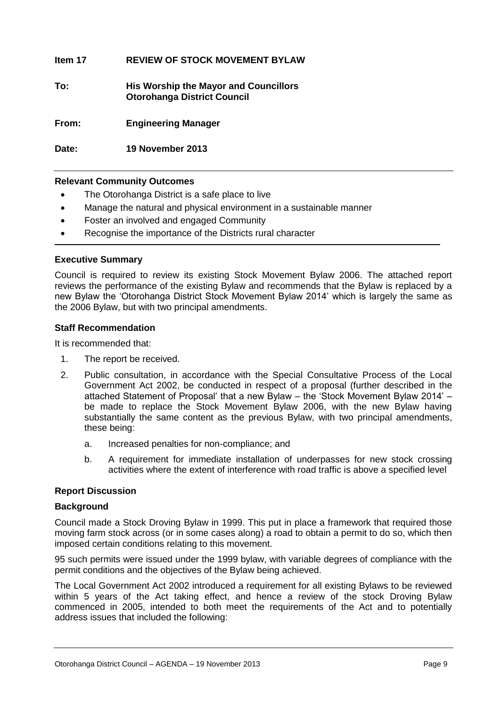#### **Item 17 REVIEW OF STOCK MOVEMENT BYLAW**

**To: His Worship the Mayor and Councillors Otorohanga District Council**

**From: Engineering Manager**

**Date: 19 November 2013**

#### **Relevant Community Outcomes**

- The Otorohanga District is a safe place to live
- Manage the natural and physical environment in a sustainable manner
- Foster an involved and engaged Community
- Recognise the importance of the Districts rural character

#### **Executive Summary**

Council is required to review its existing Stock Movement Bylaw 2006. The attached report reviews the performance of the existing Bylaw and recommends that the Bylaw is replaced by a new Bylaw the 'Otorohanga District Stock Movement Bylaw 2014' which is largely the same as the 2006 Bylaw, but with two principal amendments.

#### **Staff Recommendation**

It is recommended that:

- 1. The report be received.
- 2. Public consultation, in accordance with the Special Consultative Process of the Local Government Act 2002, be conducted in respect of a proposal (further described in the attached Statement of Proposal' that a new Bylaw – the 'Stock Movement Bylaw 2014' – be made to replace the Stock Movement Bylaw 2006, with the new Bylaw having substantially the same content as the previous Bylaw, with two principal amendments, these being:
	- a. Increased penalties for non-compliance; and
	- b. A requirement for immediate installation of underpasses for new stock crossing activities where the extent of interference with road traffic is above a specified level

#### **Report Discussion**

#### **Background**

Council made a Stock Droving Bylaw in 1999. This put in place a framework that required those moving farm stock across (or in some cases along) a road to obtain a permit to do so, which then imposed certain conditions relating to this movement.

95 such permits were issued under the 1999 bylaw, with variable degrees of compliance with the permit conditions and the objectives of the Bylaw being achieved.

The Local Government Act 2002 introduced a requirement for all existing Bylaws to be reviewed within 5 years of the Act taking effect, and hence a review of the stock Droving Bylaw commenced in 2005, intended to both meet the requirements of the Act and to potentially address issues that included the following: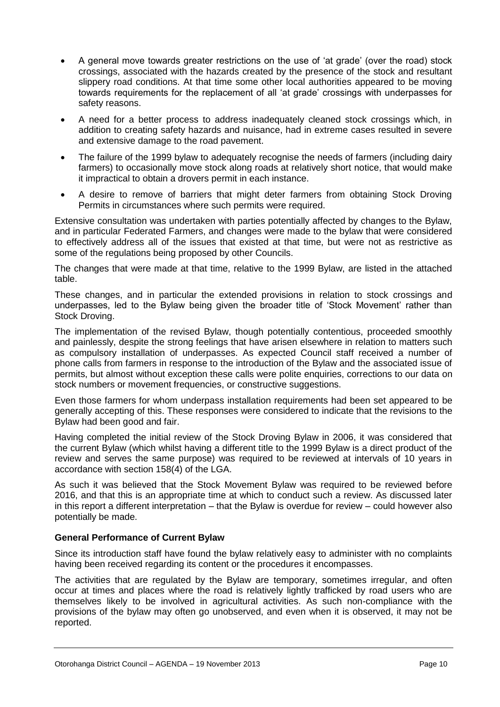- A general move towards greater restrictions on the use of 'at grade' (over the road) stock crossings, associated with the hazards created by the presence of the stock and resultant slippery road conditions. At that time some other local authorities appeared to be moving towards requirements for the replacement of all 'at grade' crossings with underpasses for safety reasons.
- A need for a better process to address inadequately cleaned stock crossings which, in addition to creating safety hazards and nuisance, had in extreme cases resulted in severe and extensive damage to the road pavement.
- The failure of the 1999 bylaw to adequately recognise the needs of farmers (including dairy farmers) to occasionally move stock along roads at relatively short notice, that would make it impractical to obtain a drovers permit in each instance.
- A desire to remove of barriers that might deter farmers from obtaining Stock Droving Permits in circumstances where such permits were required.

Extensive consultation was undertaken with parties potentially affected by changes to the Bylaw, and in particular Federated Farmers, and changes were made to the bylaw that were considered to effectively address all of the issues that existed at that time, but were not as restrictive as some of the regulations being proposed by other Councils.

The changes that were made at that time, relative to the 1999 Bylaw, are listed in the attached table.

These changes, and in particular the extended provisions in relation to stock crossings and underpasses, led to the Bylaw being given the broader title of 'Stock Movement' rather than Stock Droving.

The implementation of the revised Bylaw, though potentially contentious, proceeded smoothly and painlessly, despite the strong feelings that have arisen elsewhere in relation to matters such as compulsory installation of underpasses. As expected Council staff received a number of phone calls from farmers in response to the introduction of the Bylaw and the associated issue of permits, but almost without exception these calls were polite enquiries, corrections to our data on stock numbers or movement frequencies, or constructive suggestions.

Even those farmers for whom underpass installation requirements had been set appeared to be generally accepting of this. These responses were considered to indicate that the revisions to the Bylaw had been good and fair.

Having completed the initial review of the Stock Droving Bylaw in 2006, it was considered that the current Bylaw (which whilst having a different title to the 1999 Bylaw is a direct product of the review and serves the same purpose) was required to be reviewed at intervals of 10 years in accordance with section 158(4) of the LGA.

As such it was believed that the Stock Movement Bylaw was required to be reviewed before 2016, and that this is an appropriate time at which to conduct such a review. As discussed later in this report a different interpretation – that the Bylaw is overdue for review – could however also potentially be made.

#### **General Performance of Current Bylaw**

Since its introduction staff have found the bylaw relatively easy to administer with no complaints having been received regarding its content or the procedures it encompasses.

The activities that are regulated by the Bylaw are temporary, sometimes irregular, and often occur at times and places where the road is relatively lightly trafficked by road users who are themselves likely to be involved in agricultural activities. As such non-compliance with the provisions of the bylaw may often go unobserved, and even when it is observed, it may not be reported.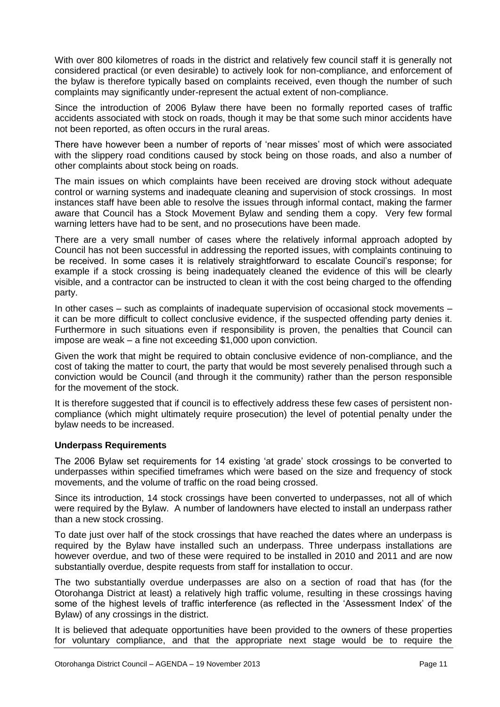With over 800 kilometres of roads in the district and relatively few council staff it is generally not considered practical (or even desirable) to actively look for non-compliance, and enforcement of the bylaw is therefore typically based on complaints received, even though the number of such complaints may significantly under-represent the actual extent of non-compliance.

Since the introduction of 2006 Bylaw there have been no formally reported cases of traffic accidents associated with stock on roads, though it may be that some such minor accidents have not been reported, as often occurs in the rural areas.

There have however been a number of reports of 'near misses' most of which were associated with the slippery road conditions caused by stock being on those roads, and also a number of other complaints about stock being on roads.

The main issues on which complaints have been received are droving stock without adequate control or warning systems and inadequate cleaning and supervision of stock crossings. In most instances staff have been able to resolve the issues through informal contact, making the farmer aware that Council has a Stock Movement Bylaw and sending them a copy. Very few formal warning letters have had to be sent, and no prosecutions have been made.

There are a very small number of cases where the relatively informal approach adopted by Council has not been successful in addressing the reported issues, with complaints continuing to be received. In some cases it is relatively straightforward to escalate Council's response; for example if a stock crossing is being inadequately cleaned the evidence of this will be clearly visible, and a contractor can be instructed to clean it with the cost being charged to the offending party.

In other cases – such as complaints of inadequate supervision of occasional stock movements – it can be more difficult to collect conclusive evidence, if the suspected offending party denies it. Furthermore in such situations even if responsibility is proven, the penalties that Council can impose are weak – a fine not exceeding \$1,000 upon conviction.

Given the work that might be required to obtain conclusive evidence of non-compliance, and the cost of taking the matter to court, the party that would be most severely penalised through such a conviction would be Council (and through it the community) rather than the person responsible for the movement of the stock.

It is therefore suggested that if council is to effectively address these few cases of persistent noncompliance (which might ultimately require prosecution) the level of potential penalty under the bylaw needs to be increased.

#### **Underpass Requirements**

The 2006 Bylaw set requirements for 14 existing 'at grade' stock crossings to be converted to underpasses within specified timeframes which were based on the size and frequency of stock movements, and the volume of traffic on the road being crossed.

Since its introduction, 14 stock crossings have been converted to underpasses, not all of which were required by the Bylaw. A number of landowners have elected to install an underpass rather than a new stock crossing.

To date just over half of the stock crossings that have reached the dates where an underpass is required by the Bylaw have installed such an underpass. Three underpass installations are however overdue, and two of these were required to be installed in 2010 and 2011 and are now substantially overdue, despite requests from staff for installation to occur.

The two substantially overdue underpasses are also on a section of road that has (for the Otorohanga District at least) a relatively high traffic volume, resulting in these crossings having some of the highest levels of traffic interference (as reflected in the 'Assessment Index' of the Bylaw) of any crossings in the district.

It is believed that adequate opportunities have been provided to the owners of these properties for voluntary compliance, and that the appropriate next stage would be to require the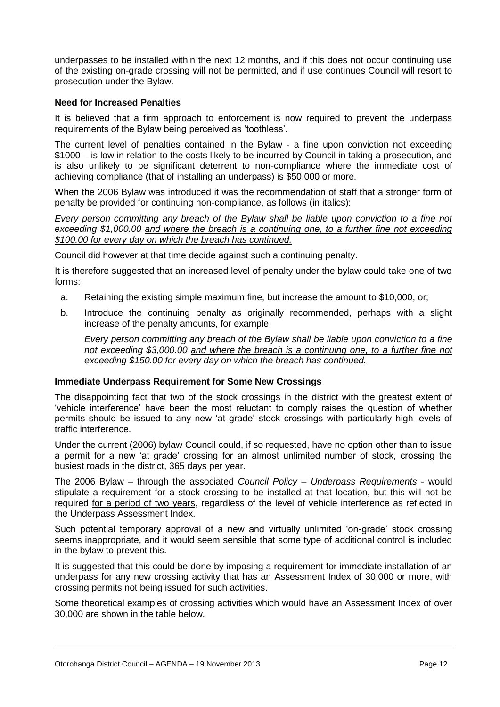underpasses to be installed within the next 12 months, and if this does not occur continuing use of the existing on-grade crossing will not be permitted, and if use continues Council will resort to prosecution under the Bylaw.

#### **Need for Increased Penalties**

It is believed that a firm approach to enforcement is now required to prevent the underpass requirements of the Bylaw being perceived as 'toothless'.

The current level of penalties contained in the Bylaw - a fine upon conviction not exceeding \$1000 – is low in relation to the costs likely to be incurred by Council in taking a prosecution, and is also unlikely to be significant deterrent to non-compliance where the immediate cost of achieving compliance (that of installing an underpass) is \$50,000 or more.

When the 2006 Bylaw was introduced it was the recommendation of staff that a stronger form of penalty be provided for continuing non-compliance, as follows (in italics):

*Every person committing any breach of the Bylaw shall be liable upon conviction to a fine not exceeding \$1,000.00 and where the breach is a continuing one, to a further fine not exceeding \$100.00 for every day on which the breach has continued.*

Council did however at that time decide against such a continuing penalty.

It is therefore suggested that an increased level of penalty under the bylaw could take one of two forms:

- a. Retaining the existing simple maximum fine, but increase the amount to \$10,000, or;
- b. Introduce the continuing penalty as originally recommended, perhaps with a slight increase of the penalty amounts, for example:

*Every person committing any breach of the Bylaw shall be liable upon conviction to a fine not exceeding \$3,000.00 and where the breach is a continuing one, to a further fine not exceeding \$150.00 for every day on which the breach has continued.*

#### **Immediate Underpass Requirement for Some New Crossings**

The disappointing fact that two of the stock crossings in the district with the greatest extent of 'vehicle interference' have been the most reluctant to comply raises the question of whether permits should be issued to any new 'at grade' stock crossings with particularly high levels of traffic interference.

Under the current (2006) bylaw Council could, if so requested, have no option other than to issue a permit for a new 'at grade' crossing for an almost unlimited number of stock, crossing the busiest roads in the district, 365 days per year.

The 2006 Bylaw – through the associated *Council Policy – Underpass Requirements* - would stipulate a requirement for a stock crossing to be installed at that location, but this will not be required for a period of two years, regardless of the level of vehicle interference as reflected in the Underpass Assessment Index.

Such potential temporary approval of a new and virtually unlimited 'on-grade' stock crossing seems inappropriate, and it would seem sensible that some type of additional control is included in the bylaw to prevent this.

It is suggested that this could be done by imposing a requirement for immediate installation of an underpass for any new crossing activity that has an Assessment Index of 30,000 or more, with crossing permits not being issued for such activities.

Some theoretical examples of crossing activities which would have an Assessment Index of over 30,000 are shown in the table below.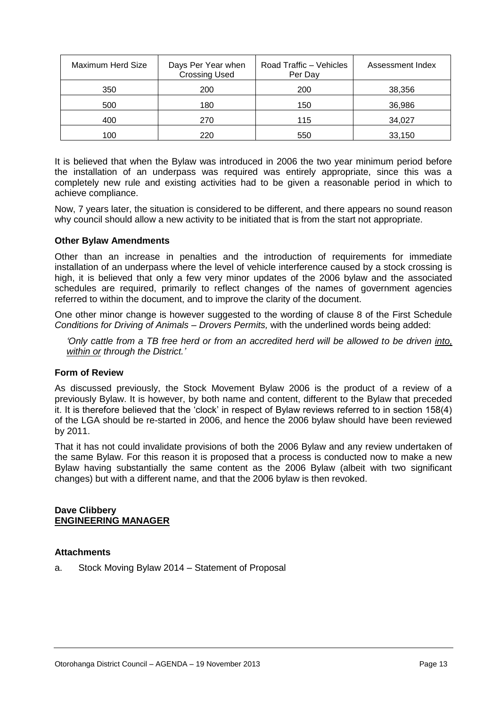| Maximum Herd Size | Days Per Year when<br><b>Crossing Used</b> | Road Traffic - Vehicles<br>Per Day | Assessment Index |
|-------------------|--------------------------------------------|------------------------------------|------------------|
| 350               | 200                                        | 200                                | 38,356           |
| 500               | 180                                        | 150                                | 36,986           |
| 400               | 270                                        | 115                                | 34,027           |
| 100               | 220                                        | 550                                | 33,150           |

It is believed that when the Bylaw was introduced in 2006 the two year minimum period before the installation of an underpass was required was entirely appropriate, since this was a completely new rule and existing activities had to be given a reasonable period in which to achieve compliance.

Now, 7 years later, the situation is considered to be different, and there appears no sound reason why council should allow a new activity to be initiated that is from the start not appropriate.

#### **Other Bylaw Amendments**

Other than an increase in penalties and the introduction of requirements for immediate installation of an underpass where the level of vehicle interference caused by a stock crossing is high, it is believed that only a few very minor updates of the 2006 bylaw and the associated schedules are required, primarily to reflect changes of the names of government agencies referred to within the document, and to improve the clarity of the document.

One other minor change is however suggested to the wording of clause 8 of the First Schedule *Conditions for Driving of Animals – Drovers Permits,* with the underlined words being added:

*'Only cattle from a TB free herd or from an accredited herd will be allowed to be driven into, within or through the District.'* 

#### **Form of Review**

As discussed previously, the Stock Movement Bylaw 2006 is the product of a review of a previously Bylaw. It is however, by both name and content, different to the Bylaw that preceded it. It is therefore believed that the 'clock' in respect of Bylaw reviews referred to in section 158(4) of the LGA should be re-started in 2006, and hence the 2006 bylaw should have been reviewed by 2011.

That it has not could invalidate provisions of both the 2006 Bylaw and any review undertaken of the same Bylaw. For this reason it is proposed that a process is conducted now to make a new Bylaw having substantially the same content as the 2006 Bylaw (albeit with two significant changes) but with a different name, and that the 2006 bylaw is then revoked.

#### **Dave Clibbery ENGINEERING MANAGER**

#### **Attachments**

a. Stock Moving Bylaw 2014 – Statement of Proposal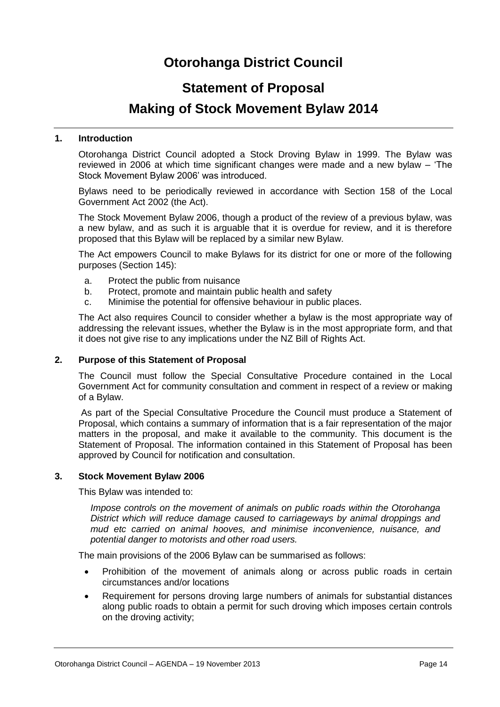# **Otorohanga District Council**

# **Statement of Proposal**

## **Making of Stock Movement Bylaw 2014**

#### **1. Introduction**

Otorohanga District Council adopted a Stock Droving Bylaw in 1999. The Bylaw was reviewed in 2006 at which time significant changes were made and a new bylaw – 'The Stock Movement Bylaw 2006' was introduced.

Bylaws need to be periodically reviewed in accordance with Section 158 of the Local Government Act 2002 (the Act).

The Stock Movement Bylaw 2006, though a product of the review of a previous bylaw, was a new bylaw, and as such it is arguable that it is overdue for review, and it is therefore proposed that this Bylaw will be replaced by a similar new Bylaw.

The Act empowers Council to make Bylaws for its district for one or more of the following purposes (Section 145):

- a. Protect the public from nuisance
- b. Protect, promote and maintain public health and safety
- c. Minimise the potential for offensive behaviour in public places.

The Act also requires Council to consider whether a bylaw is the most appropriate way of addressing the relevant issues, whether the Bylaw is in the most appropriate form, and that it does not give rise to any implications under the NZ Bill of Rights Act.

#### **2. Purpose of this Statement of Proposal**

The Council must follow the Special Consultative Procedure contained in the Local Government Act for community consultation and comment in respect of a review or making of a Bylaw.

As part of the Special Consultative Procedure the Council must produce a Statement of Proposal, which contains a summary of information that is a fair representation of the major matters in the proposal, and make it available to the community. This document is the Statement of Proposal. The information contained in this Statement of Proposal has been approved by Council for notification and consultation.

#### **3. Stock Movement Bylaw 2006**

This Bylaw was intended to:

*Impose controls on the movement of animals on public roads within the Otorohanga District which will reduce damage caused to carriageways by animal droppings and mud etc carried on animal hooves, and minimise inconvenience, nuisance, and potential danger to motorists and other road users.*

The main provisions of the 2006 Bylaw can be summarised as follows:

- Prohibition of the movement of animals along or across public roads in certain circumstances and/or locations
- Requirement for persons droving large numbers of animals for substantial distances along public roads to obtain a permit for such droving which imposes certain controls on the droving activity;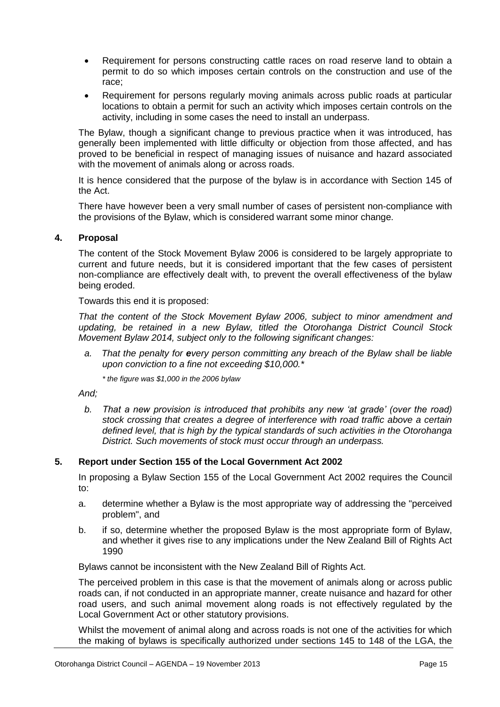- Requirement for persons constructing cattle races on road reserve land to obtain a permit to do so which imposes certain controls on the construction and use of the race;
- Requirement for persons regularly moving animals across public roads at particular locations to obtain a permit for such an activity which imposes certain controls on the activity, including in some cases the need to install an underpass.

The Bylaw, though a significant change to previous practice when it was introduced, has generally been implemented with little difficulty or objection from those affected, and has proved to be beneficial in respect of managing issues of nuisance and hazard associated with the movement of animals along or across roads.

It is hence considered that the purpose of the bylaw is in accordance with Section 145 of the Act.

There have however been a very small number of cases of persistent non-compliance with the provisions of the Bylaw, which is considered warrant some minor change.

#### **4. Proposal**

The content of the Stock Movement Bylaw 2006 is considered to be largely appropriate to current and future needs, but it is considered important that the few cases of persistent non-compliance are effectively dealt with, to prevent the overall effectiveness of the bylaw being eroded.

Towards this end it is proposed:

*That the content of the Stock Movement Bylaw 2006, subject to minor amendment and updating, be retained in a new Bylaw, titled the Otorohanga District Council Stock Movement Bylaw 2014, subject only to the following significant changes:*

*a. That the penalty for every person committing any breach of the Bylaw shall be liable upon conviction to a fine not exceeding \$10,000.\**

*\* the figure was \$1,000 in the 2006 bylaw*

*And;*

*b. That a new provision is introduced that prohibits any new 'at grade' (over the road) stock crossing that creates a degree of interference with road traffic above a certain defined level, that is high by the typical standards of such activities in the Otorohanga District. Such movements of stock must occur through an underpass.*

#### **5. Report under Section 155 of the Local Government Act 2002**

In proposing a Bylaw Section 155 of the Local Government Act 2002 requires the Council to:

- a. determine whether a Bylaw is the most appropriate way of addressing the "perceived problem", and
- b. if so, determine whether the proposed Bylaw is the most appropriate form of Bylaw, and whether it gives rise to any implications under the New Zealand Bill of Rights Act 1990

Bylaws cannot be inconsistent with the New Zealand Bill of Rights Act.

The perceived problem in this case is that the movement of animals along or across public roads can, if not conducted in an appropriate manner, create nuisance and hazard for other road users, and such animal movement along roads is not effectively regulated by the Local Government Act or other statutory provisions.

Whilst the movement of animal along and across roads is not one of the activities for which the making of bylaws is specifically authorized under sections 145 to 148 of the LGA, the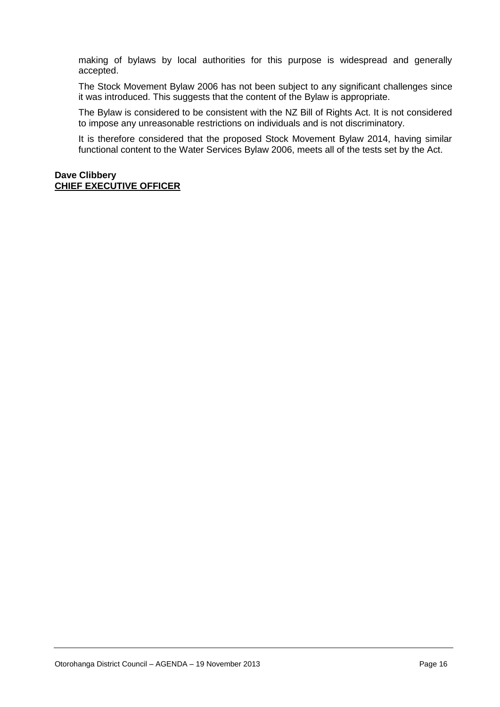making of bylaws by local authorities for this purpose is widespread and generally accepted.

The Stock Movement Bylaw 2006 has not been subject to any significant challenges since it was introduced. This suggests that the content of the Bylaw is appropriate.

The Bylaw is considered to be consistent with the NZ Bill of Rights Act. It is not considered to impose any unreasonable restrictions on individuals and is not discriminatory.

It is therefore considered that the proposed Stock Movement Bylaw 2014, having similar functional content to the Water Services Bylaw 2006, meets all of the tests set by the Act.

#### **Dave Clibbery CHIEF EXECUTIVE OFFICER**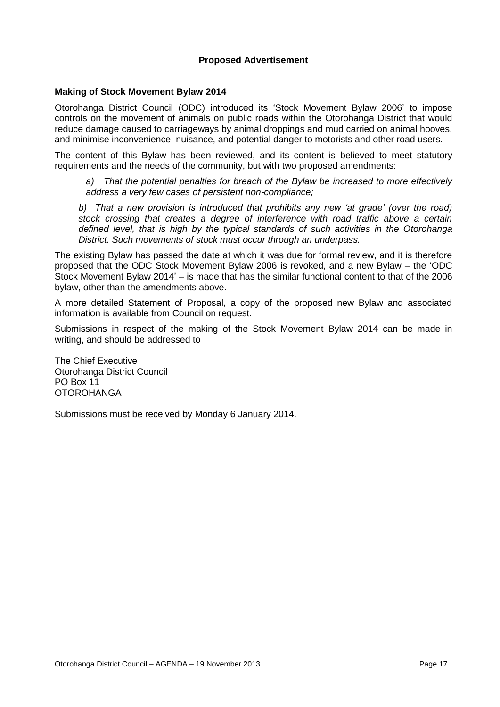#### **Proposed Advertisement**

#### **Making of Stock Movement Bylaw 2014**

Otorohanga District Council (ODC) introduced its 'Stock Movement Bylaw 2006' to impose controls on the movement of animals on public roads within the Otorohanga District that would reduce damage caused to carriageways by animal droppings and mud carried on animal hooves, and minimise inconvenience, nuisance, and potential danger to motorists and other road users.

The content of this Bylaw has been reviewed, and its content is believed to meet statutory requirements and the needs of the community, but with two proposed amendments:

*a) That the potential penalties for breach of the Bylaw be increased to more effectively address a very few cases of persistent non-compliance;*

*b) That a new provision is introduced that prohibits any new 'at grade' (over the road) stock crossing that creates a degree of interference with road traffic above a certain defined level, that is high by the typical standards of such activities in the Otorohanga District. Such movements of stock must occur through an underpass.*

The existing Bylaw has passed the date at which it was due for formal review, and it is therefore proposed that the ODC Stock Movement Bylaw 2006 is revoked, and a new Bylaw – the 'ODC Stock Movement Bylaw 2014' – is made that has the similar functional content to that of the 2006 bylaw, other than the amendments above.

A more detailed Statement of Proposal, a copy of the proposed new Bylaw and associated information is available from Council on request.

Submissions in respect of the making of the Stock Movement Bylaw 2014 can be made in writing, and should be addressed to

The Chief Executive Otorohanga District Council PO Box 11 **OTOROHANGA** 

Submissions must be received by Monday 6 January 2014.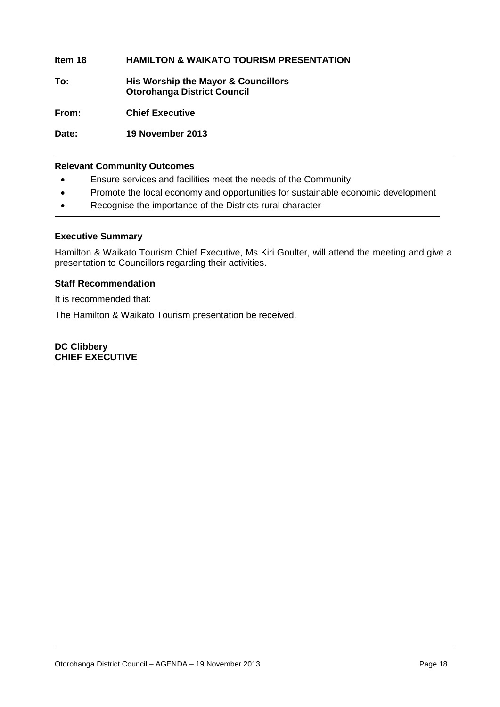#### **Item 18 HAMILTON & WAIKATO TOURISM PRESENTATION**

**To: His Worship the Mayor & Councillors Otorohanga District Council**

**From: Chief Executive**

**Date: 19 November 2013**

#### **Relevant Community Outcomes**

- Ensure services and facilities meet the needs of the Community
- Promote the local economy and opportunities for sustainable economic development
- Recognise the importance of the Districts rural character

#### **Executive Summary**

Hamilton & Waikato Tourism Chief Executive, Ms Kiri Goulter, will attend the meeting and give a presentation to Councillors regarding their activities.

#### **Staff Recommendation**

It is recommended that:

The Hamilton & Waikato Tourism presentation be received.

**DC Clibbery CHIEF EXECUTIVE**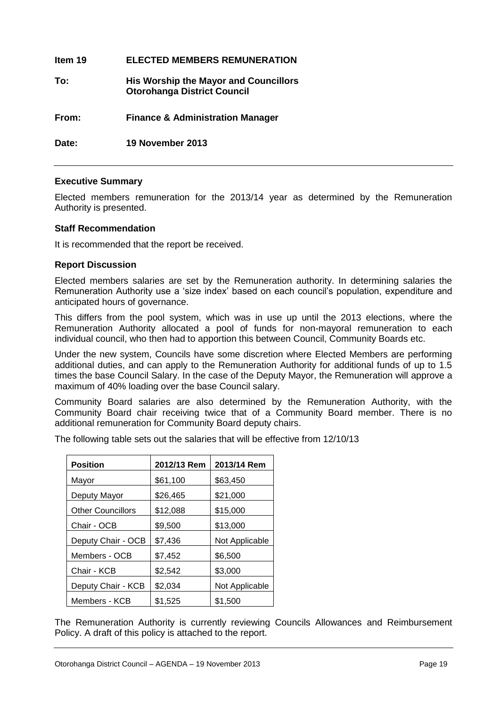| ltem 19 | <b>ELECTED MEMBERS REMUNERATION</b>                                                |
|---------|------------------------------------------------------------------------------------|
| To:     | <b>His Worship the Mayor and Councillors</b><br><b>Otorohanga District Council</b> |
| From:   | <b>Finance &amp; Administration Manager</b>                                        |
| Date:   | 19 November 2013                                                                   |

#### **Executive Summary**

Elected members remuneration for the 2013/14 year as determined by the Remuneration Authority is presented.

#### **Staff Recommendation**

It is recommended that the report be received.

#### **Report Discussion**

Elected members salaries are set by the Remuneration authority. In determining salaries the Remuneration Authority use a 'size index' based on each council's population, expenditure and anticipated hours of governance.

This differs from the pool system, which was in use up until the 2013 elections, where the Remuneration Authority allocated a pool of funds for non-mayoral remuneration to each individual council, who then had to apportion this between Council, Community Boards etc.

Under the new system, Councils have some discretion where Elected Members are performing additional duties, and can apply to the Remuneration Authority for additional funds of up to 1.5 times the base Council Salary. In the case of the Deputy Mayor, the Remuneration will approve a maximum of 40% loading over the base Council salary.

Community Board salaries are also determined by the Remuneration Authority, with the Community Board chair receiving twice that of a Community Board member. There is no additional remuneration for Community Board deputy chairs.

The following table sets out the salaries that will be effective from 12/10/13

| <b>Position</b>          | 2012/13 Rem | 2013/14 Rem    |
|--------------------------|-------------|----------------|
| Mayor                    | \$61,100    | \$63,450       |
| Deputy Mayor             | \$26,465    | \$21,000       |
| <b>Other Councillors</b> | \$12,088    | \$15,000       |
| Chair - OCB              | \$9,500     | \$13,000       |
| Deputy Chair - OCB       | \$7,436     | Not Applicable |
| Members - OCB            | \$7,452     | \$6,500        |
| Chair - KCB              | \$2,542     | \$3,000        |
| Deputy Chair - KCB       | \$2,034     | Not Applicable |
| Members - KCB            | \$1,525     | \$1,500        |

The Remuneration Authority is currently reviewing Councils Allowances and Reimbursement Policy. A draft of this policy is attached to the report.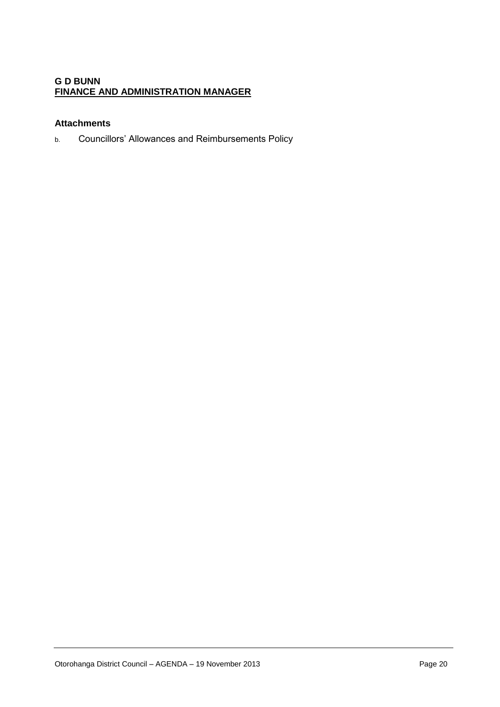#### **G D BUNN FINANCE AND ADMINISTRATION MANAGER**

#### **Attachments**

b. Councillors' Allowances and Reimbursements Policy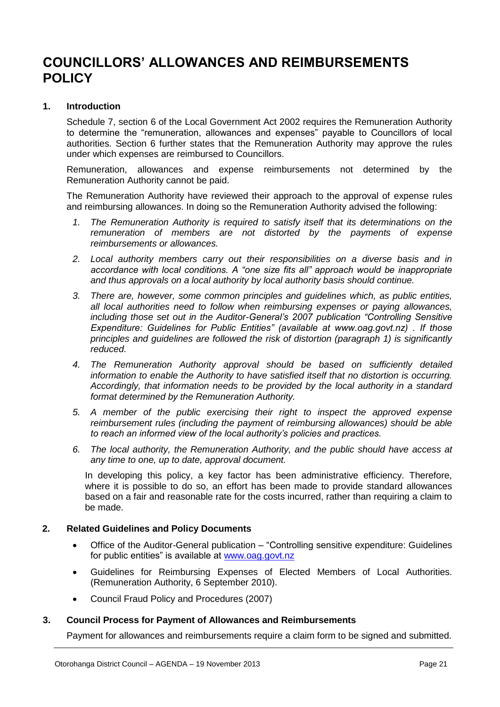# **COUNCILLORS' ALLOWANCES AND REIMBURSEMENTS POLICY**

#### **1. Introduction**

Schedule 7, section 6 of the Local Government Act 2002 requires the Remuneration Authority to determine the "remuneration, allowances and expenses" payable to Councillors of local authorities. Section 6 further states that the Remuneration Authority may approve the rules under which expenses are reimbursed to Councillors.

Remuneration, allowances and expense reimbursements not determined by the Remuneration Authority cannot be paid.

The Remuneration Authority have reviewed their approach to the approval of expense rules and reimbursing allowances. In doing so the Remuneration Authority advised the following:

- *1. The Remuneration Authority is required to satisfy itself that its determinations on the remuneration of members are not distorted by the payments of expense reimbursements or allowances.*
- *2. Local authority members carry out their responsibilities on a diverse basis and in accordance with local conditions. A "one size fits all" approach would be inappropriate and thus approvals on a local authority by local authority basis should continue.*
- *3. There are, however, some common principles and guidelines which, as public entities, all local authorities need to follow when reimbursing expenses or paying allowances, including those set out in the Auditor-General's 2007 publication "Controlling Sensitive Expenditure: Guidelines for Public Entities" (available at www.oag.govt.nz) . If those principles and guidelines are followed the risk of distortion (paragraph 1) is significantly reduced.*
- *4. The Remuneration Authority approval should be based on sufficiently detailed information to enable the Authority to have satisfied itself that no distortion is occurring. Accordingly, that information needs to be provided by the local authority in a standard format determined by the Remuneration Authority.*
- *5. A member of the public exercising their right to inspect the approved expense reimbursement rules (including the payment of reimbursing allowances) should be able to reach an informed view of the local authority's policies and practices.*
- *6. The local authority, the Remuneration Authority, and the public should have access at any time to one, up to date, approval document.*

In developing this policy, a key factor has been administrative efficiency. Therefore, where it is possible to do so, an effort has been made to provide standard allowances based on a fair and reasonable rate for the costs incurred, rather than requiring a claim to be made.

#### **2. Related Guidelines and Policy Documents**

- Office of the Auditor-General publication "Controlling sensitive expenditure: Guidelines for public entities" is available at [www.oag.govt.nz](http://www.oag.govt.nz/)
- Guidelines for Reimbursing Expenses of Elected Members of Local Authorities. (Remuneration Authority, 6 September 2010).
- Council Fraud Policy and Procedures (2007)

#### **3. Council Process for Payment of Allowances and Reimbursements**

Payment for allowances and reimbursements require a claim form to be signed and submitted.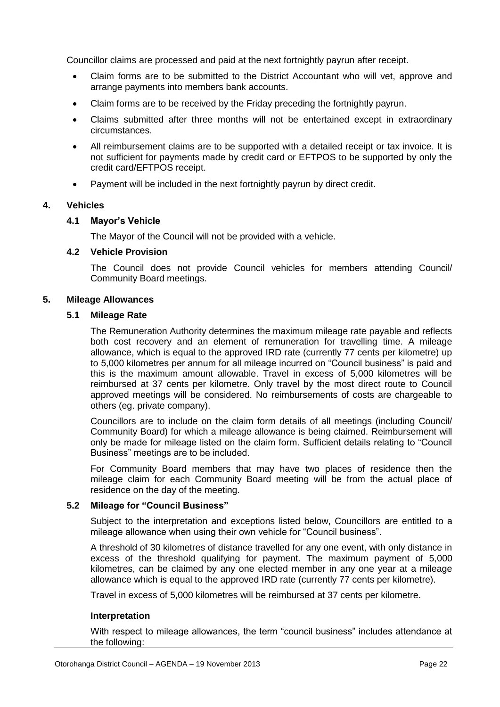Councillor claims are processed and paid at the next fortnightly payrun after receipt.

- Claim forms are to be submitted to the District Accountant who will vet, approve and arrange payments into members bank accounts.
- Claim forms are to be received by the Friday preceding the fortnightly payrun.
- Claims submitted after three months will not be entertained except in extraordinary circumstances.
- All reimbursement claims are to be supported with a detailed receipt or tax invoice. It is not sufficient for payments made by credit card or EFTPOS to be supported by only the credit card/EFTPOS receipt.
- Payment will be included in the next fortnightly payrun by direct credit.

#### **4. Vehicles**

#### **4.1 Mayor's Vehicle**

The Mayor of the Council will not be provided with a vehicle.

#### **4.2 Vehicle Provision**

The Council does not provide Council vehicles for members attending Council/ Community Board meetings.

#### **5. Mileage Allowances**

#### **5.1 Mileage Rate**

The Remuneration Authority determines the maximum mileage rate payable and reflects both cost recovery and an element of remuneration for travelling time. A mileage allowance, which is equal to the approved IRD rate (currently 77 cents per kilometre) up to 5,000 kilometres per annum for all mileage incurred on "Council business" is paid and this is the maximum amount allowable. Travel in excess of 5,000 kilometres will be reimbursed at 37 cents per kilometre. Only travel by the most direct route to Council approved meetings will be considered. No reimbursements of costs are chargeable to others (eg. private company).

Councillors are to include on the claim form details of all meetings (including Council/ Community Board) for which a mileage allowance is being claimed. Reimbursement will only be made for mileage listed on the claim form. Sufficient details relating to "Council Business" meetings are to be included.

For Community Board members that may have two places of residence then the mileage claim for each Community Board meeting will be from the actual place of residence on the day of the meeting.

#### **5.2 Mileage for "Council Business"**

Subject to the interpretation and exceptions listed below, Councillors are entitled to a mileage allowance when using their own vehicle for "Council business".

A threshold of 30 kilometres of distance travelled for any one event, with only distance in excess of the threshold qualifying for payment. The maximum payment of 5,000 kilometres, can be claimed by any one elected member in any one year at a mileage allowance which is equal to the approved IRD rate (currently 77 cents per kilometre).

Travel in excess of 5,000 kilometres will be reimbursed at 37 cents per kilometre.

#### **Interpretation**

With respect to mileage allowances, the term "council business" includes attendance at the following: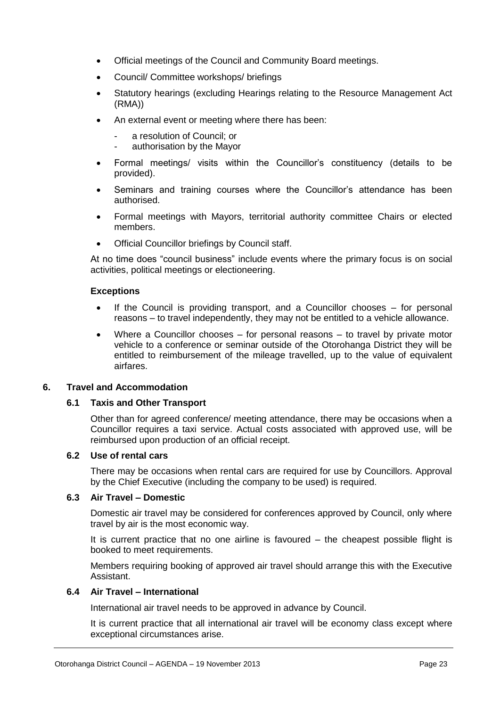- Official meetings of the Council and Community Board meetings.
- Council/ Committee workshops/ briefings
- Statutory hearings (excluding Hearings relating to the Resource Management Act (RMA))
- An external event or meeting where there has been:
	- a resolution of Council: or
	- authorisation by the Mayor
- Formal meetings/ visits within the Councillor's constituency (details to be provided).
- Seminars and training courses where the Councillor's attendance has been authorised.
- Formal meetings with Mayors, territorial authority committee Chairs or elected members.
- Official Councillor briefings by Council staff.

At no time does "council business" include events where the primary focus is on social activities, political meetings or electioneering.

#### **Exceptions**

- If the Council is providing transport, and a Councillor chooses for personal reasons – to travel independently, they may not be entitled to a vehicle allowance.
- Where a Councillor chooses for personal reasons to travel by private motor vehicle to a conference or seminar outside of the Otorohanga District they will be entitled to reimbursement of the mileage travelled, up to the value of equivalent airfares.

#### **6. Travel and Accommodation**

#### **6.1 Taxis and Other Transport**

Other than for agreed conference/ meeting attendance, there may be occasions when a Councillor requires a taxi service. Actual costs associated with approved use, will be reimbursed upon production of an official receipt.

#### **6.2 Use of rental cars**

There may be occasions when rental cars are required for use by Councillors. Approval by the Chief Executive (including the company to be used) is required.

#### **6.3 Air Travel – Domestic**

Domestic air travel may be considered for conferences approved by Council, only where travel by air is the most economic way.

It is current practice that no one airline is favoured – the cheapest possible flight is booked to meet requirements.

Members requiring booking of approved air travel should arrange this with the Executive Assistant.

#### **6.4 Air Travel – International**

International air travel needs to be approved in advance by Council.

It is current practice that all international air travel will be economy class except where exceptional circumstances arise.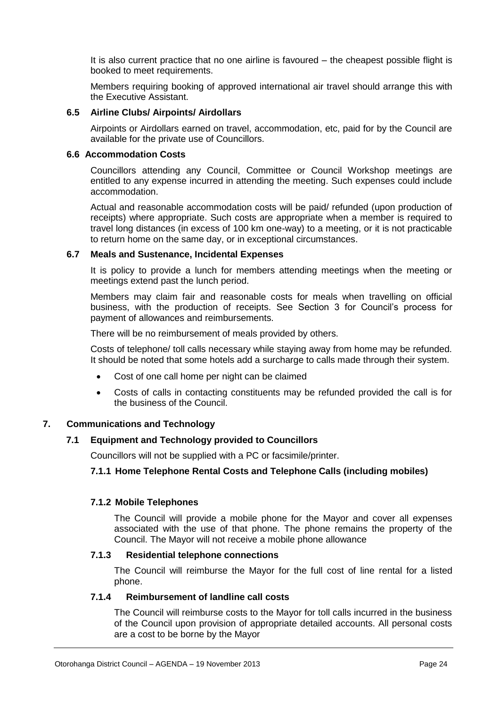It is also current practice that no one airline is favoured – the cheapest possible flight is booked to meet requirements.

Members requiring booking of approved international air travel should arrange this with the Executive Assistant.

#### **6.5 Airline Clubs/ Airpoints/ Airdollars**

Airpoints or Airdollars earned on travel, accommodation, etc, paid for by the Council are available for the private use of Councillors.

#### **6.6 Accommodation Costs**

Councillors attending any Council, Committee or Council Workshop meetings are entitled to any expense incurred in attending the meeting. Such expenses could include accommodation.

Actual and reasonable accommodation costs will be paid/ refunded (upon production of receipts) where appropriate. Such costs are appropriate when a member is required to travel long distances (in excess of 100 km one-way) to a meeting, or it is not practicable to return home on the same day, or in exceptional circumstances.

#### **6.7 Meals and Sustenance, Incidental Expenses**

It is policy to provide a lunch for members attending meetings when the meeting or meetings extend past the lunch period.

Members may claim fair and reasonable costs for meals when travelling on official business, with the production of receipts. See Section 3 for Council's process for payment of allowances and reimbursements.

There will be no reimbursement of meals provided by others.

Costs of telephone/ toll calls necessary while staying away from home may be refunded. It should be noted that some hotels add a surcharge to calls made through their system.

- Cost of one call home per night can be claimed
- Costs of calls in contacting constituents may be refunded provided the call is for the business of the Council.

#### **7. Communications and Technology**

#### **7.1 Equipment and Technology provided to Councillors**

Councillors will not be supplied with a PC or facsimile/printer.

#### **7.1.1 Home Telephone Rental Costs and Telephone Calls (including mobiles)**

#### **7.1.2 Mobile Telephones**

The Council will provide a mobile phone for the Mayor and cover all expenses associated with the use of that phone. The phone remains the property of the Council. The Mayor will not receive a mobile phone allowance

#### **7.1.3 Residential telephone connections**

The Council will reimburse the Mayor for the full cost of line rental for a listed phone.

#### **7.1.4 Reimbursement of landline call costs**

The Council will reimburse costs to the Mayor for toll calls incurred in the business of the Council upon provision of appropriate detailed accounts. All personal costs are a cost to be borne by the Mayor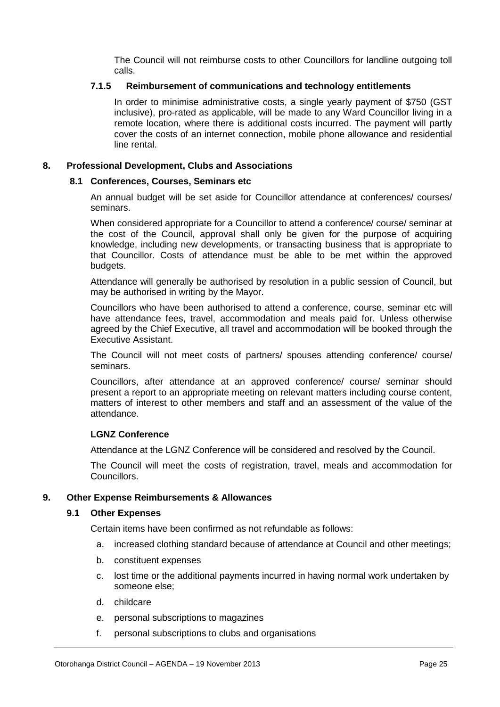The Council will not reimburse costs to other Councillors for landline outgoing toll calls.

#### **7.1.5 Reimbursement of communications and technology entitlements**

In order to minimise administrative costs, a single yearly payment of \$750 (GST inclusive), pro-rated as applicable, will be made to any Ward Councillor living in a remote location, where there is additional costs incurred. The payment will partly cover the costs of an internet connection, mobile phone allowance and residential line rental.

#### **8. Professional Development, Clubs and Associations**

#### **8.1 Conferences, Courses, Seminars etc**

An annual budget will be set aside for Councillor attendance at conferences/ courses/ seminars.

When considered appropriate for a Councillor to attend a conference/ course/ seminar at the cost of the Council, approval shall only be given for the purpose of acquiring knowledge, including new developments, or transacting business that is appropriate to that Councillor. Costs of attendance must be able to be met within the approved budgets.

Attendance will generally be authorised by resolution in a public session of Council, but may be authorised in writing by the Mayor.

Councillors who have been authorised to attend a conference, course, seminar etc will have attendance fees, travel, accommodation and meals paid for. Unless otherwise agreed by the Chief Executive, all travel and accommodation will be booked through the Executive Assistant.

The Council will not meet costs of partners/ spouses attending conference/ course/ seminars.

Councillors, after attendance at an approved conference/ course/ seminar should present a report to an appropriate meeting on relevant matters including course content, matters of interest to other members and staff and an assessment of the value of the attendance.

#### **LGNZ Conference**

Attendance at the LGNZ Conference will be considered and resolved by the Council.

The Council will meet the costs of registration, travel, meals and accommodation for Councillors.

#### **9. Other Expense Reimbursements & Allowances**

#### **9.1 Other Expenses**

Certain items have been confirmed as not refundable as follows:

- a. increased clothing standard because of attendance at Council and other meetings;
- b. constituent expenses
- c. lost time or the additional payments incurred in having normal work undertaken by someone else;
- d. childcare
- e. personal subscriptions to magazines
- f. personal subscriptions to clubs and organisations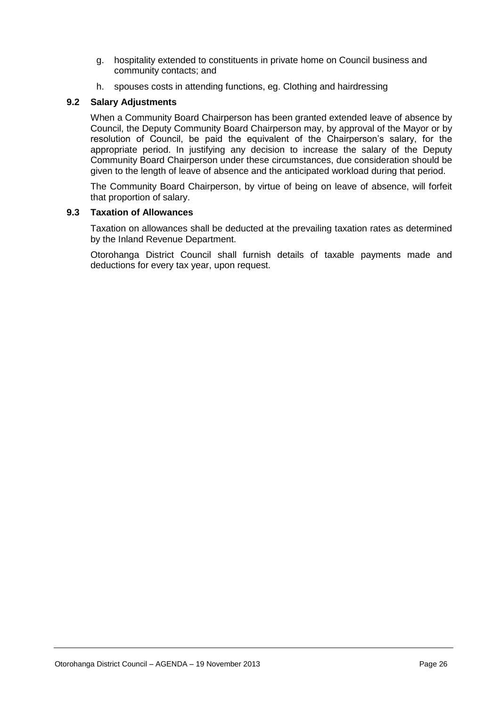- g. hospitality extended to constituents in private home on Council business and community contacts; and
- h. spouses costs in attending functions, eg. Clothing and hairdressing

#### **9.2 Salary Adjustments**

When a Community Board Chairperson has been granted extended leave of absence by Council, the Deputy Community Board Chairperson may, by approval of the Mayor or by resolution of Council, be paid the equivalent of the Chairperson's salary, for the appropriate period. In justifying any decision to increase the salary of the Deputy Community Board Chairperson under these circumstances, due consideration should be given to the length of leave of absence and the anticipated workload during that period.

The Community Board Chairperson, by virtue of being on leave of absence, will forfeit that proportion of salary.

#### **9.3 Taxation of Allowances**

Taxation on allowances shall be deducted at the prevailing taxation rates as determined by the Inland Revenue Department.

Otorohanga District Council shall furnish details of taxable payments made and deductions for every tax year, upon request.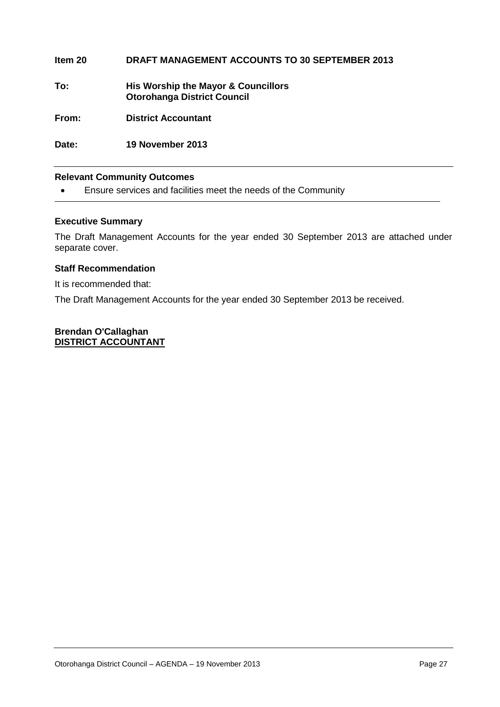| Item 20 | <b>DRAFT MANAGEMENT ACCOUNTS TO 30 SEPTEMBER 2013</b>                     |
|---------|---------------------------------------------------------------------------|
| To:     | His Worship the Mayor & Councillors<br><b>Otorohanga District Council</b> |
| From:   | <b>District Accountant</b>                                                |
| Date:   | 19 November 2013                                                          |

#### **Relevant Community Outcomes**

Ensure services and facilities meet the needs of the Community

#### **Executive Summary**

The Draft Management Accounts for the year ended 30 September 2013 are attached under separate cover.

#### **Staff Recommendation**

It is recommended that:

The Draft Management Accounts for the year ended 30 September 2013 be received.

#### **Brendan O'Callaghan DISTRICT ACCOUNTANT**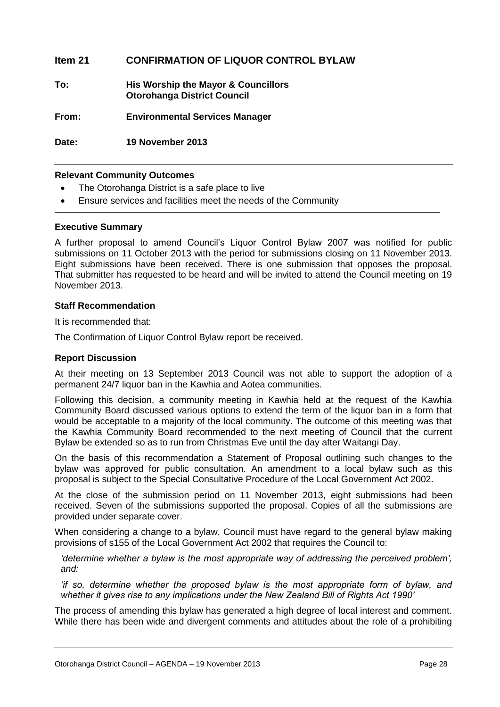#### **Item 21 CONFIRMATION OF LIQUOR CONTROL BYLAW**

**To: His Worship the Mayor & Councillors Otorohanga District Council**

**From: Environmental Services Manager**

**Date: 19 November 2013**

#### **Relevant Community Outcomes**

- The Otorohanga District is a safe place to live
- Ensure services and facilities meet the needs of the Community

#### **Executive Summary**

A further proposal to amend Council's Liquor Control Bylaw 2007 was notified for public submissions on 11 October 2013 with the period for submissions closing on 11 November 2013. Eight submissions have been received. There is one submission that opposes the proposal. That submitter has requested to be heard and will be invited to attend the Council meeting on 19 November 2013.

#### **Staff Recommendation**

It is recommended that:

The Confirmation of Liquor Control Bylaw report be received.

#### **Report Discussion**

At their meeting on 13 September 2013 Council was not able to support the adoption of a permanent 24/7 liquor ban in the Kawhia and Aotea communities.

Following this decision, a community meeting in Kawhia held at the request of the Kawhia Community Board discussed various options to extend the term of the liquor ban in a form that would be acceptable to a majority of the local community. The outcome of this meeting was that the Kawhia Community Board recommended to the next meeting of Council that the current Bylaw be extended so as to run from Christmas Eve until the day after Waitangi Day.

On the basis of this recommendation a Statement of Proposal outlining such changes to the bylaw was approved for public consultation. An amendment to a local bylaw such as this proposal is subject to the Special Consultative Procedure of the Local Government Act 2002.

At the close of the submission period on 11 November 2013, eight submissions had been received. Seven of the submissions supported the proposal. Copies of all the submissions are provided under separate cover.

When considering a change to a bylaw, Council must have regard to the general bylaw making provisions of s155 of the Local Government Act 2002 that requires the Council to:

*'determine whether a bylaw is the most appropriate way of addressing the perceived problem', and:*

*'if so, determine whether the proposed bylaw is the most appropriate form of bylaw, and whether it gives rise to any implications under the New Zealand Bill of Rights Act 1990'*

The process of amending this bylaw has generated a high degree of local interest and comment. While there has been wide and divergent comments and attitudes about the role of a prohibiting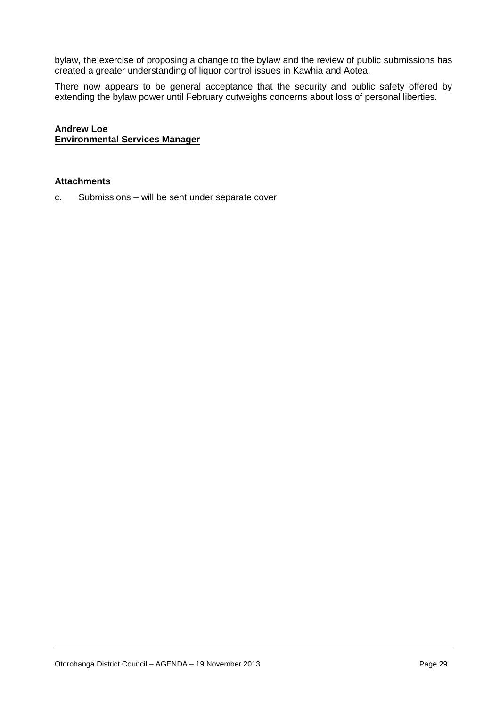bylaw, the exercise of proposing a change to the bylaw and the review of public submissions has created a greater understanding of liquor control issues in Kawhia and Aotea.

There now appears to be general acceptance that the security and public safety offered by extending the bylaw power until February outweighs concerns about loss of personal liberties.

**Andrew Loe Environmental Services Manager**

#### **Attachments**

c. Submissions – will be sent under separate cover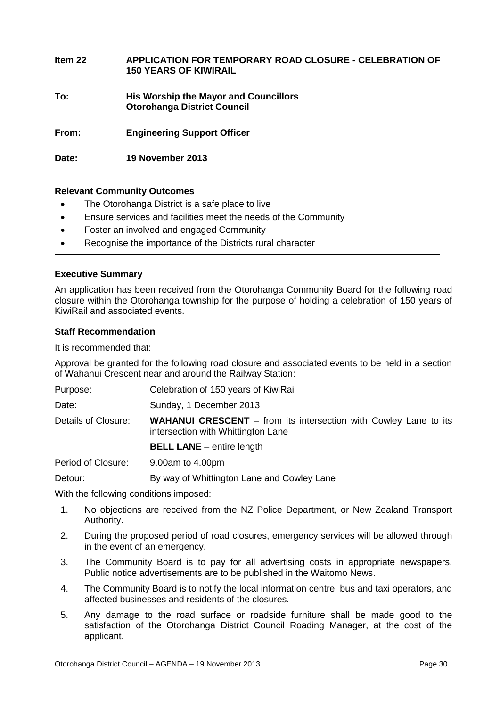| Item 22 | APPLICATION FOR TEMPORARY ROAD CLOSURE - CELEBRATION OF<br><b>150 YEARS OF KIWIRAIL</b> |
|---------|-----------------------------------------------------------------------------------------|
| To:     | <b>His Worship the Mayor and Councillors</b><br><b>Otorohanga District Council</b>      |
| From:   | <b>Engineering Support Officer</b>                                                      |
| Date:   | 19 November 2013                                                                        |

#### **Relevant Community Outcomes**

- The Otorohanga District is a safe place to live
- Ensure services and facilities meet the needs of the Community
- Foster an involved and engaged Community
- Recognise the importance of the Districts rural character

#### **Executive Summary**

An application has been received from the Otorohanga Community Board for the following road closure within the Otorohanga township for the purpose of holding a celebration of 150 years of KiwiRail and associated events.

#### **Staff Recommendation**

It is recommended that:

Approval be granted for the following road closure and associated events to be held in a section of Wahanui Crescent near and around the Railway Station:

| Purpose:            | Celebration of 150 years of KiwiRail                                                                          |
|---------------------|---------------------------------------------------------------------------------------------------------------|
| Date:               | Sunday, 1 December 2013                                                                                       |
| Details of Closure: | <b>WAHANUI CRESCENT</b> – from its intersection with Cowley Lane to its<br>intersection with Whittington Lane |
|                     | <b>BELL LANE</b> – entire length                                                                              |
| Period of Closure:  | 9.00am to 4.00pm                                                                                              |
| Detour:             | By way of Whittington Lane and Cowley Lane                                                                    |

With the following conditions imposed:

- 1. No objections are received from the NZ Police Department, or New Zealand Transport Authority.
- 2. During the proposed period of road closures, emergency services will be allowed through in the event of an emergency.
- 3. The Community Board is to pay for all advertising costs in appropriate newspapers. Public notice advertisements are to be published in the Waitomo News.
- 4. The Community Board is to notify the local information centre, bus and taxi operators, and affected businesses and residents of the closures.
- 5. Any damage to the road surface or roadside furniture shall be made good to the satisfaction of the Otorohanga District Council Roading Manager, at the cost of the applicant.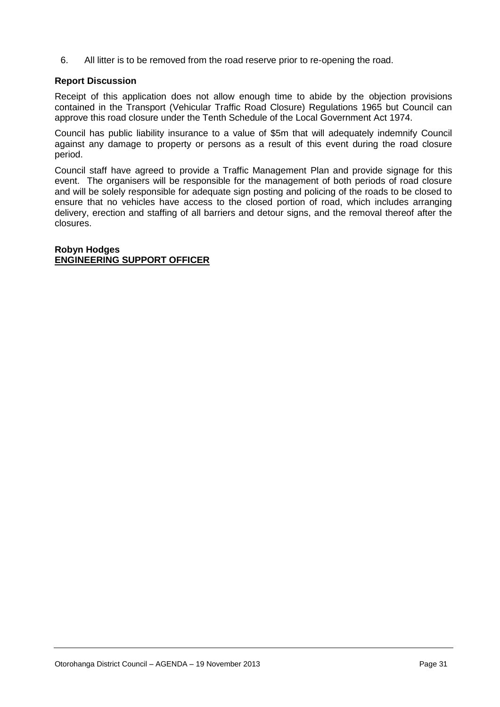6. All litter is to be removed from the road reserve prior to re-opening the road.

#### **Report Discussion**

Receipt of this application does not allow enough time to abide by the objection provisions contained in the Transport (Vehicular Traffic Road Closure) Regulations 1965 but Council can approve this road closure under the Tenth Schedule of the Local Government Act 1974.

Council has public liability insurance to a value of \$5m that will adequately indemnify Council against any damage to property or persons as a result of this event during the road closure period.

Council staff have agreed to provide a Traffic Management Plan and provide signage for this event. The organisers will be responsible for the management of both periods of road closure and will be solely responsible for adequate sign posting and policing of the roads to be closed to ensure that no vehicles have access to the closed portion of road, which includes arranging delivery, erection and staffing of all barriers and detour signs, and the removal thereof after the closures.

#### **Robyn Hodges ENGINEERING SUPPORT OFFICER**